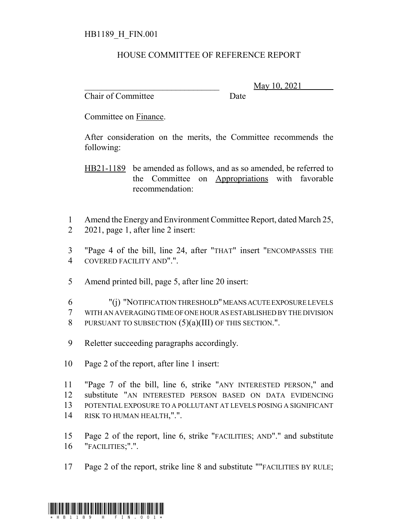## HOUSE COMMITTEE OF REFERENCE REPORT

Chair of Committee Date

May 10, 2021

Committee on Finance.

After consideration on the merits, the Committee recommends the following:

HB21-1189 be amended as follows, and as so amended, be referred to the Committee on Appropriations with favorable recommendation:

1 Amend the Energy and Environment Committee Report, dated March 25, 2 2021, page 1, after line 2 insert:

3 "Page 4 of the bill, line 24, after "THAT" insert "ENCOMPASSES THE 4 COVERED FACILITY AND".".

5 Amend printed bill, page 5, after line 20 insert:

6 "(j) "NOTIFICATION THRESHOLD" MEANS ACUTE EXPOSURE LEVELS 7 WITH AN AVERAGING TIME OF ONE HOUR AS ESTABLISHED BY THE DIVISION 8 PURSUANT TO SUBSECTION  $(5)(a)(III)$  OF THIS SECTION.".

- 9 Reletter succeeding paragraphs accordingly.
- 10 Page 2 of the report, after line 1 insert:

 "Page 7 of the bill, line 6, strike "ANY INTERESTED PERSON," and substitute "AN INTERESTED PERSON BASED ON DATA EVIDENCING POTENTIAL EXPOSURE TO A POLLUTANT AT LEVELS POSING A SIGNIFICANT RISK TO HUMAN HEALTH,".".

15 Page 2 of the report, line 6, strike "FACILITIES; AND"." and substitute 16 "FACILITIES;".".

17 Page 2 of the report, strike line 8 and substitute ""FACILITIES BY RULE;

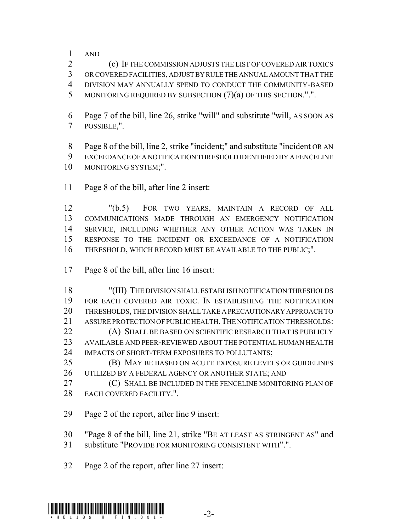AND

 (c) IF THE COMMISSION ADJUSTS THE LIST OF COVERED AIR TOXICS OR COVERED FACILITIES, ADJUST BY RULE THE ANNUAL AMOUNT THAT THE DIVISION MAY ANNUALLY SPEND TO CONDUCT THE COMMUNITY-BASED MONITORING REQUIRED BY SUBSECTION (7)(a) OF THIS SECTION.".".

 Page 7 of the bill, line 26, strike "will" and substitute "will, AS SOON AS POSSIBLE,".

 Page 8 of the bill, line 2, strike "incident;" and substitute "incident OR AN EXCEEDANCE OF A NOTIFICATION THRESHOLD IDENTIFIED BY A FENCELINE MONITORING SYSTEM;".

Page 8 of the bill, after line 2 insert:

 "(b.5) FOR TWO YEARS, MAINTAIN A RECORD OF ALL COMMUNICATIONS MADE THROUGH AN EMERGENCY NOTIFICATION SERVICE, INCLUDING WHETHER ANY OTHER ACTION WAS TAKEN IN RESPONSE TO THE INCIDENT OR EXCEEDANCE OF A NOTIFICATION THRESHOLD, WHICH RECORD MUST BE AVAILABLE TO THE PUBLIC;".

Page 8 of the bill, after line 16 insert:

 "(III) THE DIVISION SHALL ESTABLISH NOTIFICATION THRESHOLDS FOR EACH COVERED AIR TOXIC. IN ESTABLISHING THE NOTIFICATION THRESHOLDS, THE DIVISION SHALL TAKE A PRECAUTIONARY APPROACH TO 21 ASSURE PROTECTION OF PUBLIC HEALTH. THE NOTIFICATION THRESHOLDS: **(A) SHALL BE BASED ON SCIENTIFIC RESEARCH THAT IS PUBLICLY**  AVAILABLE AND PEER-REVIEWED ABOUT THE POTENTIAL HUMAN HEALTH 24 IMPACTS OF SHORT-TERM EXPOSURES TO POLLUTANTS;

 (B) MAY BE BASED ON ACUTE EXPOSURE LEVELS OR GUIDELINES UTILIZED BY A FEDERAL AGENCY OR ANOTHER STATE; AND

**C**) SHALL BE INCLUDED IN THE FENCELINE MONITORING PLAN OF EACH COVERED FACILITY.".

Page 2 of the report, after line 9 insert:

 "Page 8 of the bill, line 21, strike "BE AT LEAST AS STRINGENT AS" and substitute "PROVIDE FOR MONITORING CONSISTENT WITH".".

Page 2 of the report, after line 27 insert: